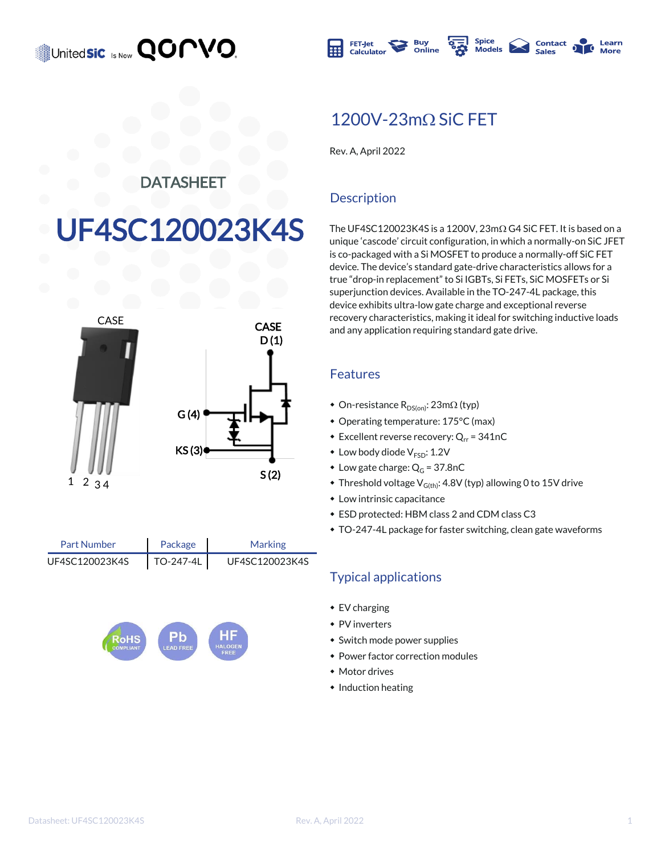



### 1200V-23mQ SiC FFT

Rev. A, April 2022

#### **DATASHEET**

# UF4SC120023K4S



Package TO-247-4L Part Number Marking UF4SC120023K4S | TO-247-4L | UF4SC120023K4S



#### **Description**

The UF4SC120023K4S is a 1200V,  $23m\Omega$  G4 SiC FET. It is based on a unique 'cascode' circuit configuration, in which a normally-on SiC JFET is co-packaged with a Si MOSFET to produce a normally-off SiC FET device. The device's standard gate-drive characteristics allows for a true "drop-in replacement" to Si IGBTs, Si FETs, SiC MOSFETs or Si superjunction devices. Available in the TO-247-4L package, this device exhibits ultra-low gate charge and exceptional reverse recovery characteristics, making it ideal for switching inductive loads and any application requiring standard gate drive.

#### Features

- On-resistance  $R_{DS(on)}$ : 23m $\Omega$  (typ)
- \* Operating temperature: 175°C (max)
- **Excellent reverse recovery: Q**<sub>rr</sub> = 341nC
- $\bullet$  Low body diode  $V_{ESD}$ : 1.2V
- $\bullet$  Low gate charge:  $Q_G = 37.8nC$
- $\bullet$  Threshold voltage V<sub>G(th)</sub>: 4.8V (typ) allowing 0 to 15V drive
- $\bullet$  Low intrinsic capacitance
- $\bullet$  ESD protected: HBM class 2 and CDM class C3
- \* TO-247-4L package for faster switching, clean gate waveforms

#### Typical applications

- $\cdot$  EV charging
- $\bullet$  PV inverters
- Switch mode power supplies
- Power factor correction modules
- Motor drives
- $\bullet$  Induction heating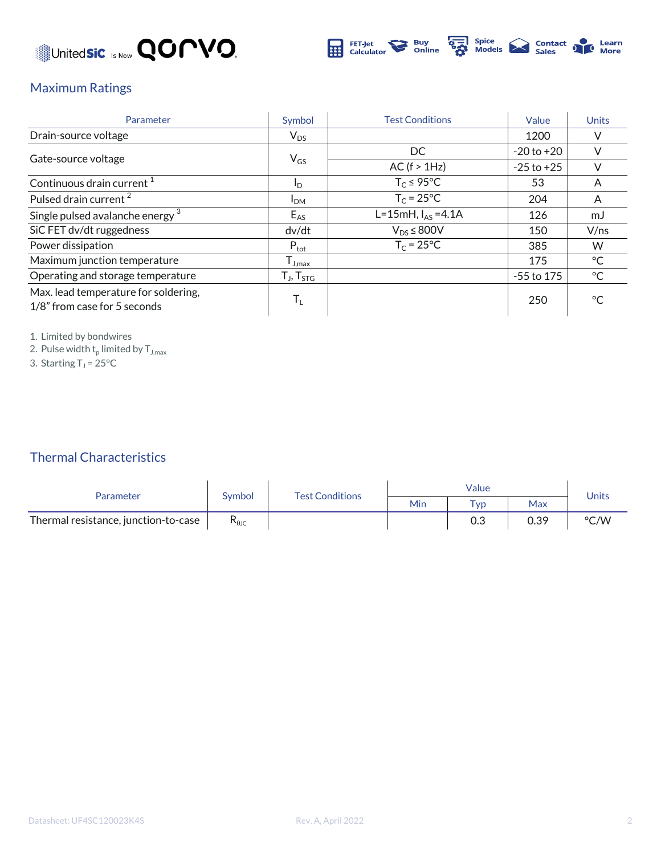



#### Maximum Ratings

| Parameter                                                            | Symbol                                               | <b>Test Conditions</b> | Value          | <b>Units</b> |
|----------------------------------------------------------------------|------------------------------------------------------|------------------------|----------------|--------------|
| Drain-source voltage                                                 | $V_{DS}$                                             |                        | 1200           |              |
|                                                                      |                                                      | DC                     | $-20$ to $+20$ |              |
| Gate-source voltage                                                  | $V_{GS}$                                             | AC (f > 1Hz)           | $-25$ to $+25$ |              |
| Continuous drain current <sup>1</sup>                                | I <sub>D</sub>                                       | $T_c \leq 95^{\circ}C$ | 53             | A            |
| Pulsed drain current <sup>2</sup>                                    | I <sub>DM</sub>                                      | $T_c = 25$ °C          | 204            | A            |
| Single pulsed avalanche energy <sup>3</sup>                          | $E_{AS}$                                             | L=15mH, $I_{AS}$ =4.1A | 126            | mJ           |
| SiC FET dv/dt ruggedness                                             | dv/dt                                                | $V_{DS}$ $\leq$ 800V   | 150            | V/ns         |
| Power dissipation                                                    | $P_{\text{tot}}$                                     | $T_c = 25^{\circ}C$    | 385            | W            |
| Maximum junction temperature                                         | $I_{J,max}$                                          |                        | 175            | $^{\circ}$ C |
| Operating and storage temperature                                    | $\mathsf{T}_{\mathsf{J}}, \mathsf{T}_{\mathsf{STG}}$ |                        | $-55$ to 175   | °C           |
| Max. lead temperature for soldering,<br>1/8" from case for 5 seconds | $\mathsf{T}_{\mathsf{L}}$                            |                        | 250            | $^{\circ}C$  |

1. Limited by bondwires

2. Pulse width  $\mathsf{t}_\mathsf{p}$  limited by  $\mathsf{T}_{\mathsf{J},\mathsf{max}}$ 

3. Starting  $T_J$  = 25°C

#### Thermal Characteristics

| Parameter                            | Symbol                         | <b>Test Conditions</b> | Value |             |      | <b>Units</b> |
|--------------------------------------|--------------------------------|------------------------|-------|-------------|------|--------------|
|                                      |                                |                        | Min   | $\tau_{VD}$ | Max  |              |
| Thermal resistance, junction-to-case | $\mathsf{R}_{\theta\text{JC}}$ |                        |       | 0.3         | 0.39 | °C/W         |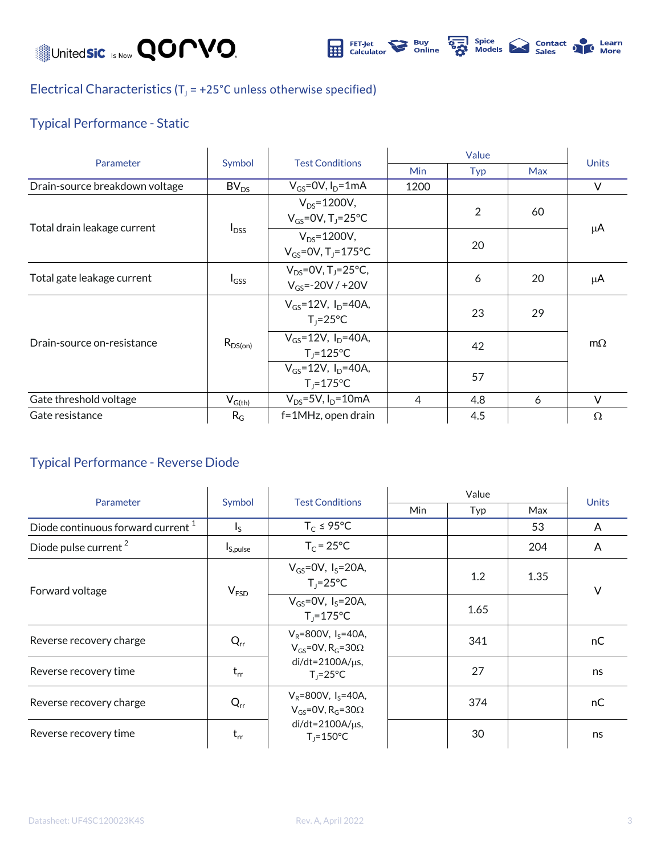Unitedsic Is Now **QOMVO** 



**SEARCH Spice**<br> **Sales** De Learn<br> **Sales** De More

### Electrical Characteristics ( $T_J$  = +25°C unless otherwise specified)

#### Typical Performance - Static

| Parameter                      | Symbol                                 | <b>Test Conditions</b>                                          | Value      |     |            |              |
|--------------------------------|----------------------------------------|-----------------------------------------------------------------|------------|-----|------------|--------------|
|                                |                                        |                                                                 | <b>Min</b> | Typ | <b>Max</b> | <b>Units</b> |
| Drain-source breakdown voltage | BV <sub>DS</sub>                       | $V_{GS}$ =0V, $I_D$ =1mA                                        | 1200       |     |            | $\vee$       |
| Total drain leakage current    | $I_{DSS}$                              | $V_{DS} = 1200V,$<br>$V_{GS}$ =0V, T <sub>1</sub> =25°C         |            | 2   | 60         | μA           |
|                                |                                        | $V_{DS} = 1200V,$<br>$V_{GS} = 0V$ , T <sub>1</sub> =175°C      |            | 20  |            |              |
| Total gate leakage current     | $I_{GSS}$                              | $V_{DS} = 0V$ , T <sub>J</sub> =25°C,<br>$V_{GS} = -20V / +20V$ |            | 6   | 20         | μA           |
| Drain-source on-resistance     | $R_{DS(on)}$                           | $V_{GS} = 12V$ , $I_D = 40A$ ,<br>$T_1 = 25^{\circ}C$           |            | 23  | 29         | $m\Omega$    |
|                                |                                        | $V_{GS} = 12V$ , $I_{D} = 40A$ ,<br>$T_i = 125^{\circ}C$        |            | 42  |            |              |
|                                |                                        | $V_{GS} = 12V$ , $I_{D} = 40A$ ,<br>$T_i = 175$ °C              |            | 57  |            |              |
| Gate threshold voltage         | $\mathsf{V}_{\mathsf{G}(\mathsf{th})}$ | $V_{DS} = 5V$ , $I_D = 10mA$                                    | 4          | 4.8 | 6          | V            |
| Gate resistance                | $R_G$                                  | f=1MHz, open drain                                              |            | 4.5 |            | $\Omega$     |

#### Typical Performance - Reverse Diode

| Parameter                                     | Symbol               | <b>Test Conditions</b>                                                    | Value |      |      |              |
|-----------------------------------------------|----------------------|---------------------------------------------------------------------------|-------|------|------|--------------|
|                                               |                      |                                                                           | Min   | Typ  | Max  | <b>Units</b> |
| Diode continuous forward current <sup>1</sup> | $I_{\rm S}$          | $T_c \leq 95^{\circ}C$                                                    |       |      | 53   | A            |
| Diode pulse current <sup>2</sup>              | I <sub>S,pulse</sub> | $T_c = 25^{\circ}C$                                                       |       |      | 204  | A            |
| Forward voltage                               | V <sub>FSD</sub>     | $V_{GS} = 0V$ , $I_S = 20A$ ,<br>$T_i = 25^{\circ}C$                      |       | 1.2  | 1.35 | $\vee$       |
|                                               |                      | $V_{GS} = 0V$ , $I_S = 20A$ ,<br>$T_i = 175^{\circ}C$                     |       | 1.65 |      |              |
| Reverse recovery charge                       | $Q_{rr}$             | $V_R = 800V$ , $I_S = 40A$ ,<br>$V_{GS}$ =0V, R <sub>G</sub> =30 $\Omega$ |       | 341  |      | nC           |
| Reverse recovery time                         | $t_{rr}$             | $di/dt = 2100A/\mu s$ ,<br>$T_1 = 25^{\circ}C$                            |       | 27   |      | ns           |
| Reverse recovery charge                       | $Q_{rr}$             | $V_R = 800V$ , $I_S = 40A$ ,<br>$V_{GS}$ =0V, R <sub>G</sub> =30 $\Omega$ |       | 374  |      | nC           |
| Reverse recovery time                         | $t_{rr}$             | $di/dt = 2100A/\mu s$ ,<br>$T_1 = 150^{\circ}C$                           |       | 30   |      | ns           |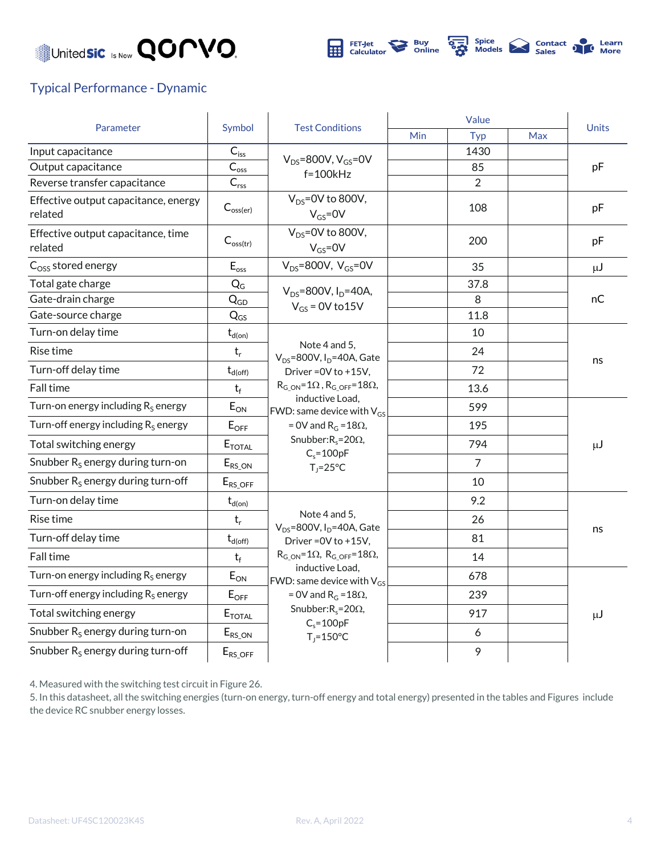



#### Typical Performance - Dynamic

| Parameter                                       | Symbol                      | <b>Test Conditions</b>                                                                                                                                                                                                                                                                            | Value |      |            |              |
|-------------------------------------------------|-----------------------------|---------------------------------------------------------------------------------------------------------------------------------------------------------------------------------------------------------------------------------------------------------------------------------------------------|-------|------|------------|--------------|
|                                                 |                             |                                                                                                                                                                                                                                                                                                   | Min   | Typ  | <b>Max</b> | <b>Units</b> |
| Input capacitance                               | $C_{\text{iss}}$            | $V_{DS}$ =800V, $V_{GS}$ =0V<br>$f=100kHz$                                                                                                                                                                                                                                                        |       | 1430 |            |              |
| Output capacitance                              | $\mathsf{C}_{\mathsf{oss}}$ |                                                                                                                                                                                                                                                                                                   |       | 85   |            | pF           |
| Reverse transfer capacitance                    | $C_{\text{rss}}$            |                                                                                                                                                                                                                                                                                                   |       | 2    |            |              |
| Effective output capacitance, energy<br>related | $C_{\text{oss}(er)}$        | $V_{DS}$ =0V to 800V,<br>$V_{GS} = 0V$                                                                                                                                                                                                                                                            |       | 108  |            | pF           |
| Effective output capacitance, time<br>related   | $C_{\text{oss(tr)}}$        | $V_{DS} = 0V$ to 800V,<br>$V_{GS} = 0V$                                                                                                                                                                                                                                                           |       | 200  |            | pF           |
| $Coss$ stored energy                            | $E_{\rm oss}$               | $V_{DS} = 800V, V_{GS} = 0V$                                                                                                                                                                                                                                                                      |       | 35   |            | $\mu$ J      |
| Total gate charge                               | $Q_G$                       | $V_{DS} = 800V, I_D = 40A,$                                                                                                                                                                                                                                                                       |       | 37.8 |            |              |
| Gate-drain charge                               | $Q_{GD}$                    | $V_{GS}$ = 0V to 15V                                                                                                                                                                                                                                                                              |       | 8    |            | пC           |
| Gate-source charge                              | $Q_{GS}$                    |                                                                                                                                                                                                                                                                                                   |       | 11.8 |            |              |
| Turn-on delay time                              | $t_{\text{d}( \text{on})}$  |                                                                                                                                                                                                                                                                                                   |       | 10   |            | ns           |
| Rise time                                       | $t_r$                       | Note 4 and 5,<br>$V_{DS}$ =800V, I <sub>D</sub> =40A, Gate                                                                                                                                                                                                                                        |       | 24   |            |              |
| Turn-off delay time                             | $t_{d(\rm off)}$            | Driver = 0V to +15V,                                                                                                                                                                                                                                                                              |       | 72   |            |              |
| Fall time                                       | $t_f$                       | $R_{G ON} = 1\Omega$ , $R_{G OFF} = 18\Omega$ ,<br>inductive Load,<br>FWD: same device with $V_{GS}$<br>= 0V and $R_G = 18\Omega$ ,<br>Snubber: $R_s = 20\Omega$ ,<br>$C_s = 100pF$<br>$T_1 = 25^{\circ}C$                                                                                        |       | 13.6 |            |              |
| Turn-on energy including $R_s$ energy           | $E_{ON}$                    |                                                                                                                                                                                                                                                                                                   |       | 599  |            | $\mu$ J      |
| Turn-off energy including $R_s$ energy          | $E_{OFF}$                   |                                                                                                                                                                                                                                                                                                   |       | 195  |            |              |
| Total switching energy                          | $E_{\text{TOTAL}}$          |                                                                                                                                                                                                                                                                                                   |       | 794  |            |              |
| Snubber $R_s$ energy during turn-on             | $E_{RS\_ON}$                |                                                                                                                                                                                                                                                                                                   |       | 7    |            |              |
| Snubber $R_s$ energy during turn-off            | $E_{RS\_OFF}$               |                                                                                                                                                                                                                                                                                                   |       | 10   |            |              |
| Turn-on delay time                              | $t_{d(on)}$                 | Note 4 and 5,<br>$V_{DS}$ =800V, I <sub>D</sub> =40A, Gate<br>Driver = 0V to +15V,<br>$R_{G ON} = 1\Omega$ , $R_{G OFF} = 18\Omega$ ,<br>inductive Load,<br>FWD: same device with $V_{GS}$<br>= 0V and $R_G = 18\Omega$ ,<br>Snubber: $R_s = 20\Omega$ ,<br>$C_s = 100pF$<br>$T_j = 150^{\circ}C$ |       | 9.2  |            |              |
| Rise time                                       | $t_r$                       |                                                                                                                                                                                                                                                                                                   |       | 26   |            | ns           |
| Turn-off delay time                             | $t_{d(\text{off})}$         |                                                                                                                                                                                                                                                                                                   |       | 81   |            |              |
| Fall time                                       | $t_f$                       |                                                                                                                                                                                                                                                                                                   |       | 14   |            |              |
| Turn-on energy including $R_S$ energy           | $E_{ON}$                    |                                                                                                                                                                                                                                                                                                   |       | 678  |            |              |
| Turn-off energy including $R_S$ energy          | $E_{OFF}$                   |                                                                                                                                                                                                                                                                                                   |       | 239  |            | $\mu$ J      |
| Total switching energy                          | $E_{\text{TOTAL}}$          |                                                                                                                                                                                                                                                                                                   |       | 917  |            |              |
| Snubber $R_S$ energy during turn-on             | $E_{RS\_ON}$                |                                                                                                                                                                                                                                                                                                   |       | 6    |            |              |
| Snubber $R_s$ energy during turn-off            | $E_{RS\_OFF}$               |                                                                                                                                                                                                                                                                                                   |       | 9    |            |              |

4. Measured with the switching test circuit in Figure 26.

5. In this datasheet, all the switching energies (turn-on energy, turn-off energy and total energy) presented in the tables and Figures include the device RC snubber energy losses.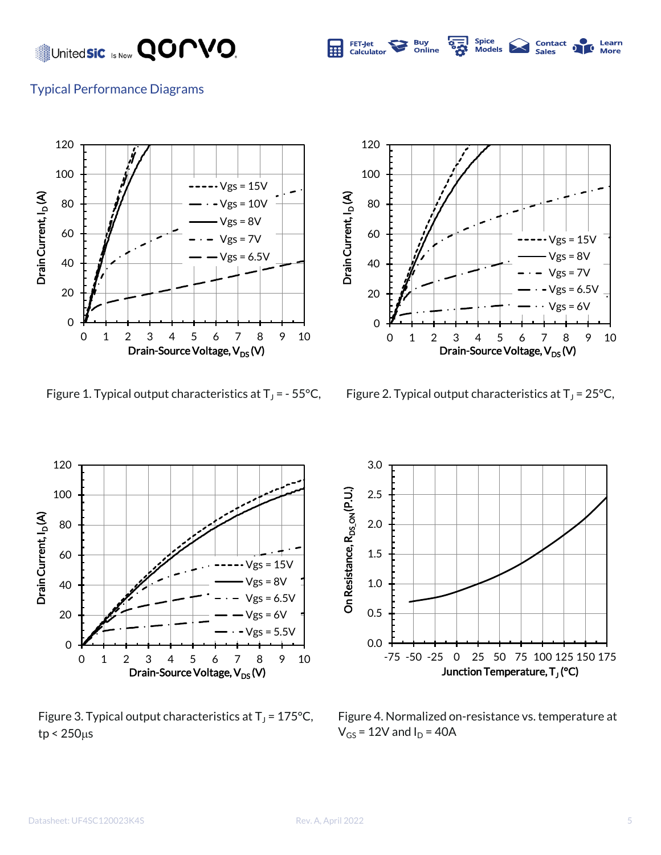United**sic** Is Now **QOMVO**.



Spice<br>Models **Contact** 

Learn

#### Typical Performance Diagrams



Figure 1. Typical output characteristics at  $T_J$  = - 55°C,



Figure 2. Typical output characteristics at  $T_J = 25^{\circ}C$ ,



Figure 3. Typical output characteristics at  $T_J$  = 175°C,  $tp < 250 \mu s$ 



Figure 4. Normalized on-resistance vs. temperature at  $V_{GS}$  = 12V and  $I_D$  = 40A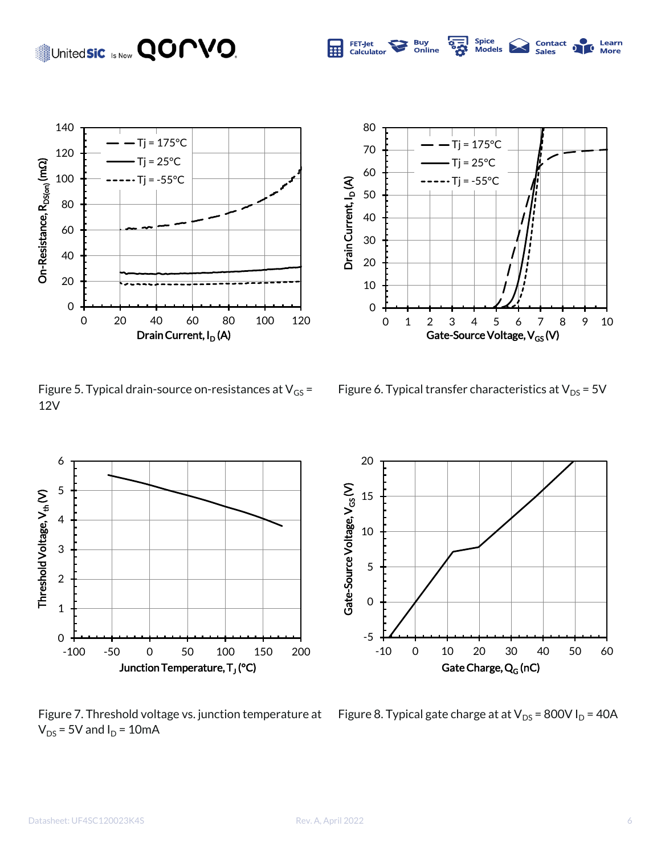## United**sic** Is Now **QOPVO.**



Figure 5. Typical drain-source on-resistances at  $V_{GS}$  = 12V



Spice<br>Models

**Contact**<br>Sales

Learn

More

**Buy<br>Online** 

FET-Jet<br>Calculator

屈

Figure 6. Typical transfer characteristics at  $V_{DS}$  = 5V



Figure 7. Threshold voltage vs. junction temperature at  $V_{DS}$  = 5V and  $I_D$  = 10mA



Figure 8. Typical gate charge at at  $V_{DS}$  = 800V I<sub>D</sub> = 40A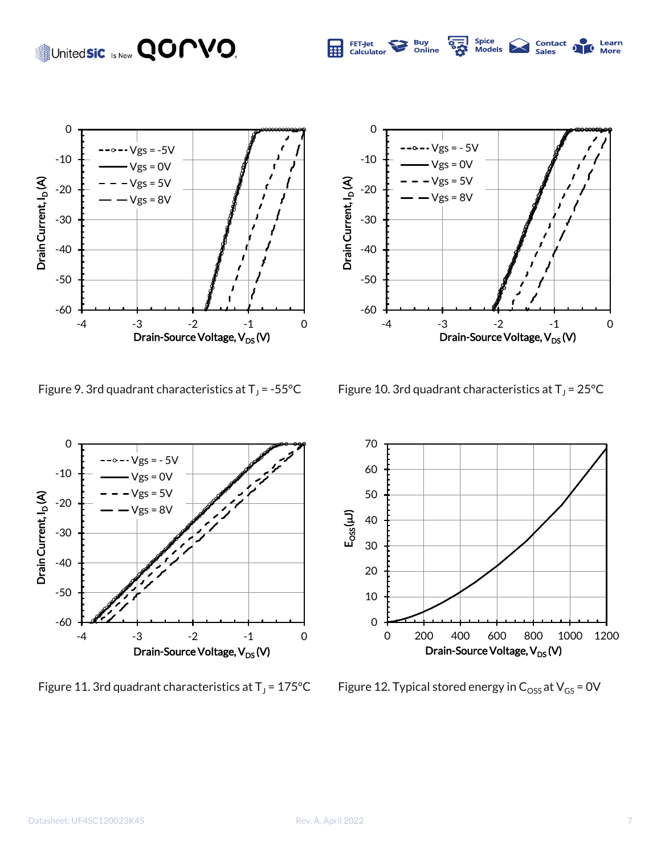## United**sic** Is Now **QOPVO**.



Figure 9. 3rd quadrant characteristics at  $T_J = -55^{\circ}C$ 



 $Vgs = 5V$  $Vgs = 8V$ 

-4 -3 -2 -1 0

Drain-Source Voltage,  $V_{DS}$  (V)

**Contact**<br>Sales

Learn



Figure 11. 3rd quadrant characteristics at  $T_J$  = 175°C



Figure 12. Typical stored energy in  $C_{\text{OSS}}$  at  $V_{\text{GS}}$  = 0V

-60

-50

-40

-30

Drain Current, I<sub>D</sub> (A)

Drain Current, I<sub>D</sub>(A)

-20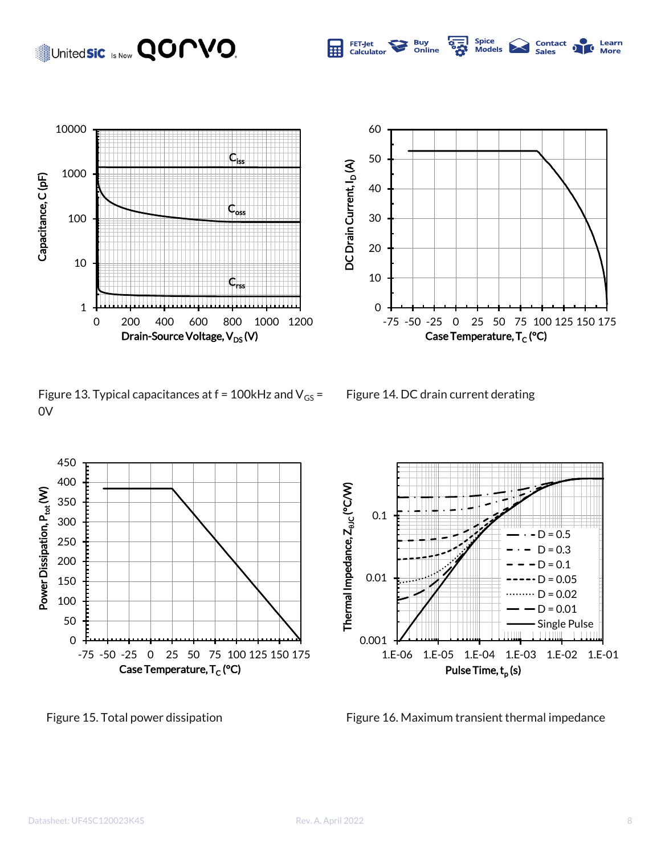### United**sic** Is Now **QOPVO.**





0

10

20

30

DC Drain Current, I<sub>D</sub> (A)

DC Drain Current, I<sub>D</sub>(A)

40

50

60

FET-Jet<br>Calculator

E





-75 -50 -25 0 25 50 75 100 125 150 175

Case Temperature, T<sub>C</sub> (°C)

Spice<br>Models

**Contact** 

Learn

More

**Buy<br>Online** 

Figure 15. Total power dissipation Figure 16. Maximum transient thermal impedance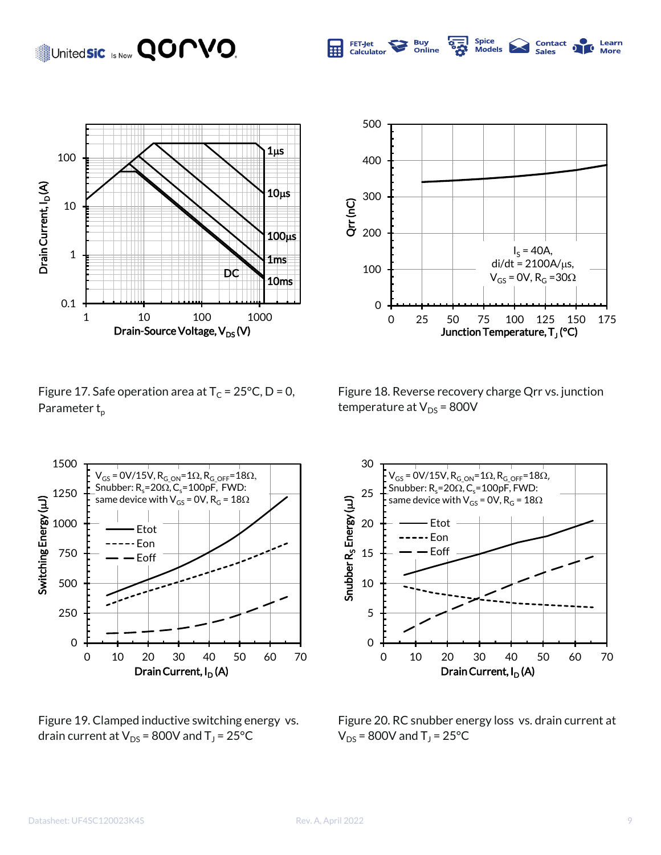### United**sic** Is Now **QOMVO.**





Spice<br>Models

**Contact** 

**Sales** 

Learn

**More** 

**Buy<br>Online** 

FET-Jet

Calculator

m

Figure 17. Safe operation area at  $T_c = 25^{\circ}C$ , D = 0, Parameter  $t_p$ 





Figure 19. Clamped inductive switching energy vs. drain current at V $_{\text{DS}}$  = 800V and T $_{\text{J}}$  = 25°C



Figure 20. RC snubber energy loss vs. drain current at  $V_{DS}$  = 800V and T<sub>J</sub> = 25°C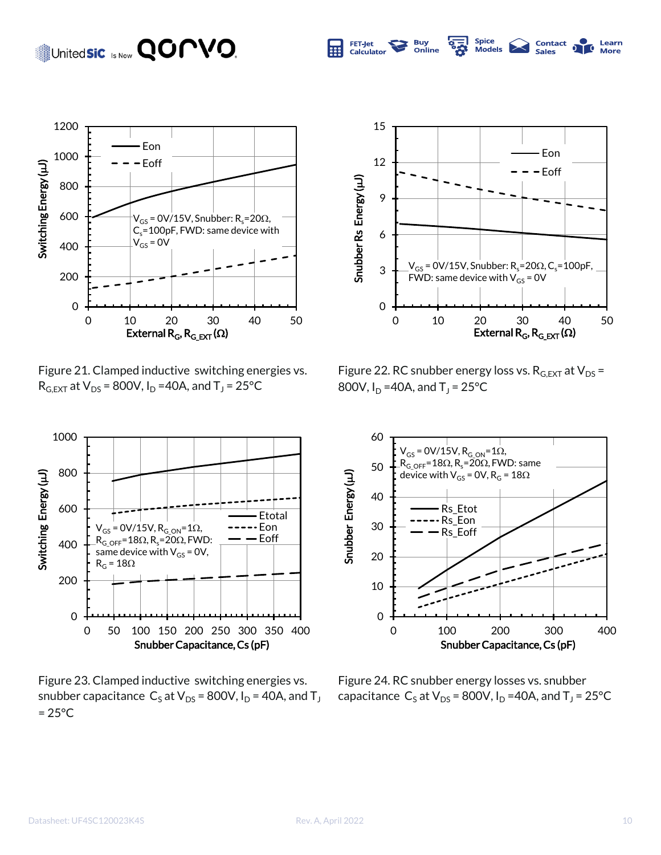#### Datasheet: UF4SC120023K4S Rev. A, April 2022 10

 $= 25^{\circ}$ C



Figure 23. Clamped inductive switching energies vs. snubber capacitance  $\, \mathsf{C}_\mathsf{S}\,$ at V $_\mathsf{DS}$  = 800V, I $_\mathsf{D}$  = 40A, and T $_\mathsf{J}$ Figure 24. RC snubber energy losses vs. snubber capacitance  $\text{C}_\text{S}$  at V<sub>DS</sub> = 800V, I<sub>D</sub> =40A, and T<sub>J</sub> = 25°C

0 10 20 30 40 50 0 100 200 300 400 Snubber Energy ( Snubber Energy (µJ) Rs\_Etot Rs\_Eon Rs\_Eoff  $R_{G\_OFF}$ =18 $\Omega$ ,  $R_s$ =20 $\Omega$ , FWD: same device with  $V_{GS}$  = 0V, R<sub>G</sub> = 18 $\Omega$ 

Figure 22. RC snubber energy loss vs.  $R_{G,EXT}$  at  $V_{DS}$  = 800V, I<sub>D</sub> =40A, and T<sub>J</sub> = 25°C



United**sic** Is Now **QOMVO** 

Figure 21. Clamped inductive switching energies vs.  $R_{G,EXT}$  at  $V_{DS}$  = 800V,  $I_D$  =40A, and T<sub>J</sub> = 25°C





Spice<br>Models

**Contact** 

Learn

More

**Buy** 

Online

**FET-Jet** 

Calculator

m

Snubber Capacitance, Cs (pF)

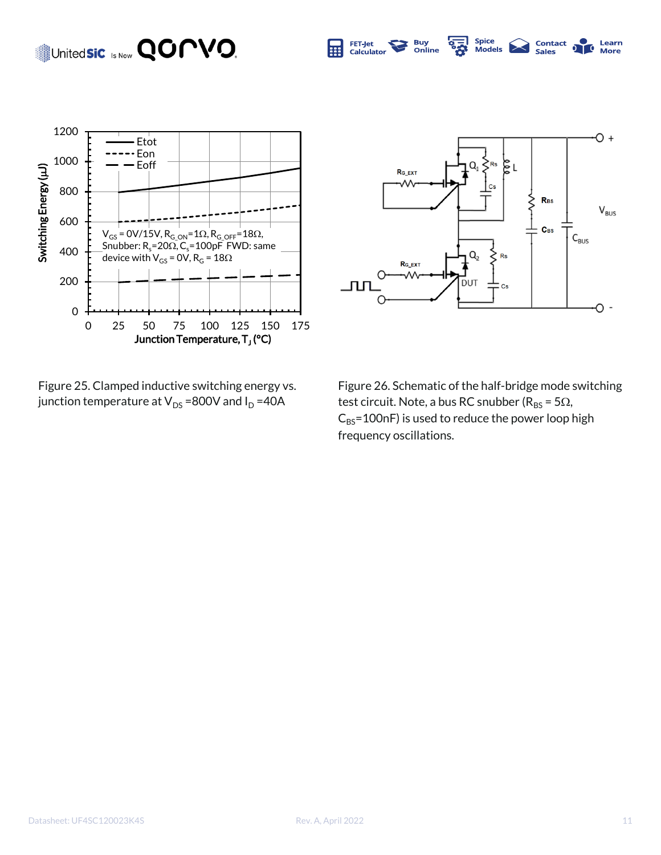#### Spice<br>Models United**sic** Is Now **QOMVO.** FET-Jet<br>Calculator **Buy<br>Online** 扁



Figure 25. Clamped inductive switching energy vs. junction temperature at  $V_{DS}$  =800V and  $I_D$  =40A



**Contact**<br>Sales

ð Ō. More

Learn

Figure 26. Schematic of the half-bridge mode switching test circuit. Note, a bus RC snubber ( $R_{BS} = 5\Omega$ ,  $C_{BS}$ =100nF) is used to reduce the power loop high frequency oscillations.